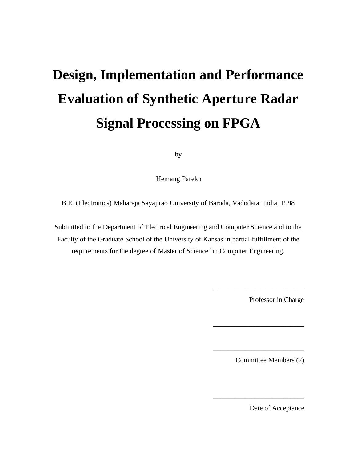# **Design, Implementation and Performance Evaluation of Synthetic Aperture Radar Signal Processing on FPGA**

by

Hemang Parekh

B.E. (Electronics) Maharaja Sayajirao University of Baroda, Vadodara, India, 1998

Submitted to the Department of Electrical Engineering and Computer Science and to the Faculty of the Graduate School of the University of Kansas in partial fulfillment of the requirements for the degree of Master of Science `in Computer Engineering.

Professor in Charge

\_\_\_\_\_\_\_\_\_\_\_\_\_\_\_\_\_\_\_\_\_\_\_\_\_\_

\_\_\_\_\_\_\_\_\_\_\_\_\_\_\_\_\_\_\_\_\_\_\_\_\_\_

\_\_\_\_\_\_\_\_\_\_\_\_\_\_\_\_\_\_\_\_\_\_\_\_\_\_

\_\_\_\_\_\_\_\_\_\_\_\_\_\_\_\_\_\_\_\_\_\_\_\_\_\_

Committee Members (2)

Date of Acceptance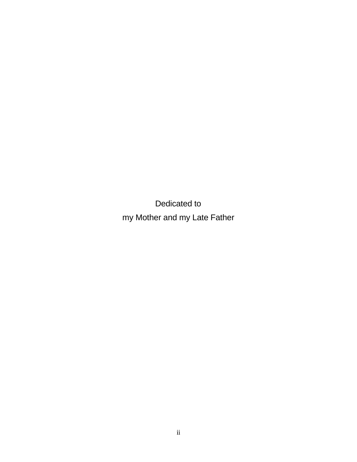Dedicated to my Mother and my Late Father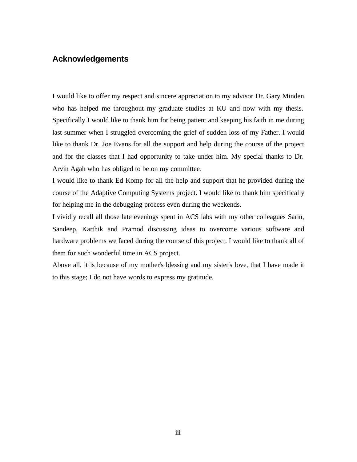# **Acknowledgements**

I would like to offer my respect and sincere appreciation to my advisor Dr. Gary Minden who has helped me throughout my graduate studies at KU and now with my thesis. Specifically I would like to thank him for being patient and keeping his faith in me during last summer when I struggled overcoming the grief of sudden loss of my Father. I would like to thank Dr. Joe Evans for all the support and help during the course of the project and for the classes that I had opportunity to take under him. My special thanks to Dr. Arvin Agah who has obliged to be on my committee.

I would like to thank Ed Komp for all the help and support that he provided during the course of the Adaptive Computing Systems project. I would like to thank him specifically for helping me in the debugging process even during the weekends.

I vividly recall all those late evenings spent in ACS labs with my other colleagues Sarin, Sandeep, Karthik and Pramod discussing ideas to overcome various software and hardware problems we faced during the course of this project. I would like to thank all of them for such wonderful time in ACS project.

Above all, it is because of my mother's blessing and my sister's love, that I have made it to this stage; I do not have words to express my gratitude.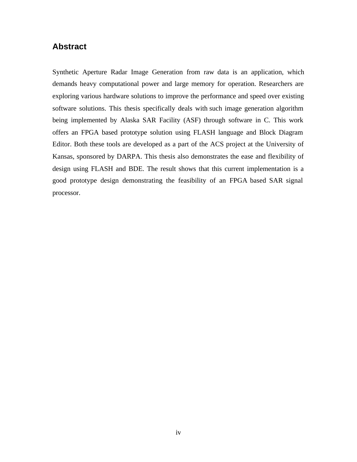# **Abstract**

Synthetic Aperture Radar Image Generation from raw data is an application, which demands heavy computational power and large memory for operation. Researchers are exploring various hardware solutions to improve the performance and speed over existing software solutions. This thesis specifically deals with such image generation algorithm being implemented by Alaska SAR Facility (ASF) through software in C. This work offers an FPGA based prototype solution using FLASH language and Block Diagram Editor. Both these tools are developed as a part of the ACS project at the University of Kansas, sponsored by DARPA. This thesis also demonstrates the ease and flexibility of design using FLASH and BDE. The result shows that this current implementation is a good prototype design demonstrating the feasibility of an FPGA based SAR signal processor.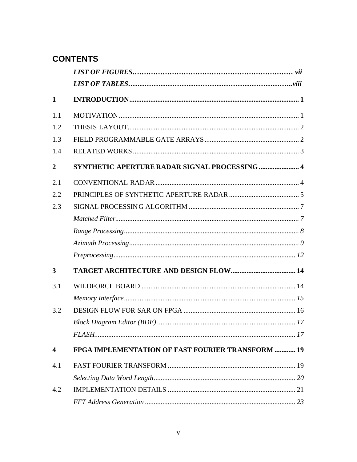# **CONTENTS**

| $\mathbf{1}$            |                                                          |  |
|-------------------------|----------------------------------------------------------|--|
| 1.1                     |                                                          |  |
| 1.2                     |                                                          |  |
| 1.3                     |                                                          |  |
| 1.4                     |                                                          |  |
| $\overline{2}$          | SYNTHETIC APERTURE RADAR SIGNAL PROCESSING  4            |  |
| 2.1                     |                                                          |  |
| 2.2                     |                                                          |  |
| 2.3                     |                                                          |  |
|                         |                                                          |  |
|                         |                                                          |  |
|                         |                                                          |  |
|                         |                                                          |  |
| 3                       |                                                          |  |
| 3.1                     |                                                          |  |
|                         |                                                          |  |
| 3.2                     |                                                          |  |
|                         |                                                          |  |
|                         |                                                          |  |
| $\overline{\mathbf{4}}$ | <b>FPGA IMPLEMENTATION OF FAST FOURIER TRANSFORM  19</b> |  |
| 4.1                     |                                                          |  |
|                         |                                                          |  |
| 4.2                     |                                                          |  |
|                         |                                                          |  |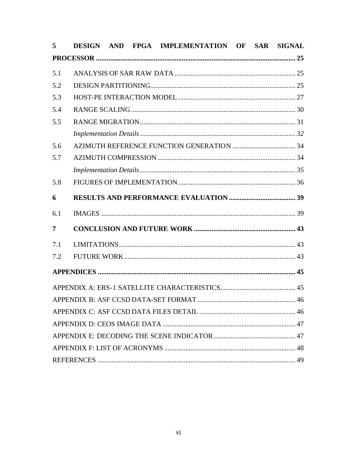| 5   |  | DESIGN AND FPGA IMPLEMENTATION OF SAR SIGNAL |  |  |
|-----|--|----------------------------------------------|--|--|
|     |  |                                              |  |  |
| 5.1 |  |                                              |  |  |
| 5.2 |  |                                              |  |  |
| 5.3 |  |                                              |  |  |
| 5.4 |  |                                              |  |  |
| 5.5 |  |                                              |  |  |
|     |  |                                              |  |  |
| 5.6 |  |                                              |  |  |
| 5.7 |  |                                              |  |  |
|     |  |                                              |  |  |
| 5.8 |  |                                              |  |  |
| 6   |  |                                              |  |  |
| 6.1 |  |                                              |  |  |
| 7   |  |                                              |  |  |
| 7.1 |  |                                              |  |  |
| 7.2 |  |                                              |  |  |
|     |  |                                              |  |  |
|     |  |                                              |  |  |
|     |  |                                              |  |  |
|     |  |                                              |  |  |
|     |  |                                              |  |  |
|     |  |                                              |  |  |
|     |  |                                              |  |  |
|     |  |                                              |  |  |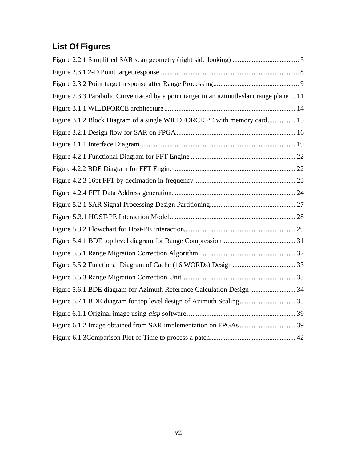# **List Of Figures**

| Figure 2.3.3 Parabolic Curve traced by a point target in an azimuth-slant range plane  11 |  |
|-------------------------------------------------------------------------------------------|--|
|                                                                                           |  |
| Figure 3.1.2 Block Diagram of a single WILDFORCE PE with memory card 15                   |  |
|                                                                                           |  |
|                                                                                           |  |
|                                                                                           |  |
|                                                                                           |  |
|                                                                                           |  |
|                                                                                           |  |
|                                                                                           |  |
|                                                                                           |  |
|                                                                                           |  |
|                                                                                           |  |
|                                                                                           |  |
|                                                                                           |  |
|                                                                                           |  |
| Figure 5.6.1 BDE diagram for Azimuth Reference Calculation Design 34                      |  |
|                                                                                           |  |
|                                                                                           |  |
|                                                                                           |  |
|                                                                                           |  |
|                                                                                           |  |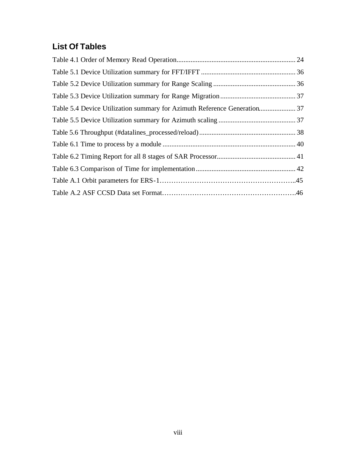# **List Of Tables**

| Table 5.4 Device Utilization summary for Azimuth Reference Generation 37 |  |
|--------------------------------------------------------------------------|--|
|                                                                          |  |
|                                                                          |  |
|                                                                          |  |
|                                                                          |  |
|                                                                          |  |
|                                                                          |  |
|                                                                          |  |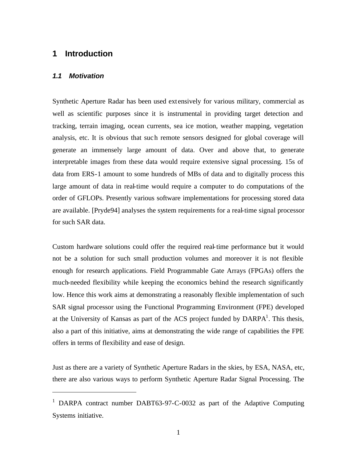# **1 Introduction**

#### *1.1 Motivation*

 $\overline{a}$ 

Synthetic Aperture Radar has been used ext ensively for various military, commercial as well as scientific purposes since it is instrumental in providing target detection and tracking, terrain imaging, ocean currents, sea ice motion, weather mapping, vegetation analysis, etc. It is obvious that such remote sensors designed for global coverage will generate an immensely large amount of data. Over and above that, to generate interpretable images from these data would require extensive signal processing. 15s of data from ERS-1 amount to some hundreds of MBs of data and to digitally process this large amount of data in real-time would require a computer to do computations of the order of GFLOPs. Presently various software implementations for processing stored data are available. [Pryde94] analyses the system requirements for a real-time signal processor for such SAR data.

Custom hardware solutions could offer the required real-time performance but it would not be a solution for such small production volumes and moreover it is not flexible enough for research applications. Field Programmable Gate Arrays (FPGAs) offers the much-needed flexibility while keeping the economics behind the research significantly low. Hence this work aims at demonstrating a reasonably flexible implementation of such SAR signal processor using the Functional Programming Environment (FPE) developed at the University of Kansas as part of the ACS project funded by  $DARPA<sup>1</sup>$ . This thesis, also a part of this initiative, aims at demonstrating the wide range of capabilities the FPE offers in terms of flexibility and ease of design.

Just as there are a variety of Synthetic Aperture Radars in the skies, by ESA, NASA, etc, there are also various ways to perform Synthetic Aperture Radar Signal Processing. The

<sup>&</sup>lt;sup>1</sup> DARPA contract number DABT63-97-C-0032 as part of the Adaptive Computing Systems initiative.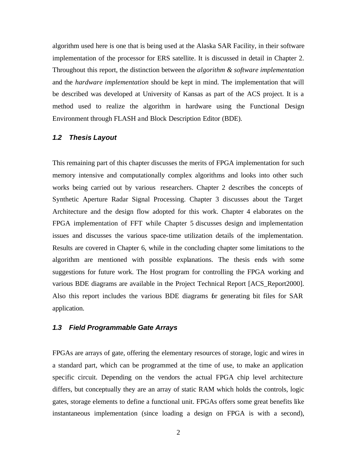algorithm used here is one that is being used at the Alaska SAR Facility, in their software implementation of the processor for ERS satellite. It is discussed in detail in Chapter 2. Throughout this report, the distinction between the *algorithm & software implementation* and the *hardware implementation* should be kept in mind. The implementation that will be described was developed at University of Kansas as part of the ACS project. It is a method used to realize the algorithm in hardware using the Functional Design Environment through FLASH and Block Description Editor (BDE).

#### *1.2 Thesis Layout*

This remaining part of this chapter discusses the merits of FPGA implementation for such memory intensive and computationally complex algorithms and looks into other such works being carried out by various researchers. Chapter 2 describes the concepts of Synthetic Aperture Radar Signal Processing. Chapter 3 discusses about the Target Architecture and the design flow adopted for this work. Chapter 4 elaborates on the FPGA implementation of FFT while Chapter 5 discusses design and implementation issues and discusses the various space-time utilization details of the implementation. Results are covered in Chapter 6, while in the concluding chapter some limitations to the algorithm are mentioned with possible explanations. The thesis ends with some suggestions for future work. The Host program for controlling the FPGA working and various BDE diagrams are available in the Project Technical Report [ACS\_Report2000]. Also this report includes the various BDE diagrams for generating bit files for SAR application.

#### *1.3 Field Programmable Gate Arrays*

FPGAs are arrays of gate, offering the elementary resources of storage, logic and wires in a standard part, which can be programmed at the time of use, to make an application specific circuit. Depending on the vendors the actual FPGA chip level architecture differs, but conceptually they are an array of static RAM which holds the controls, logic gates, storage elements to define a functional unit. FPGAs offers some great benefits like instantaneous implementation (since loading a design on FPGA is with a second),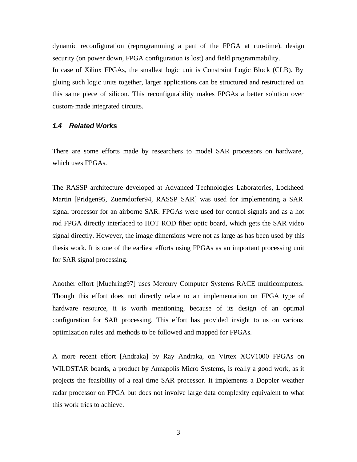dynamic reconfiguration (reprogramming a part of the FPGA at run-time), design security (on power down, FPGA configuration is lost) and field programmability. In case of Xilinx FPGAs, the smallest logic unit is Constraint Logic Block (CLB). By gluing such logic units together, larger applications can be structured and restructured on this same piece of silicon. This reconfigurability makes FPGAs a better solution over custom-made integrated circuits.

#### *1.4 Related Works*

There are some efforts made by researchers to model SAR processors on hardware, which uses FPGAs.

The RASSP architecture developed at Advanced Technologies Laboratories, Lockheed Martin [Pridgen95, Zuerndorfer94, RASSP\_SAR] was used for implementing a SAR signal processor for an airborne SAR. FPGAs were used for control signals and as a hot rod FPGA directly interfaced to HOT ROD fiber optic board, which gets the SAR video signal directly. However, the image dimensions were not as large as has been used by this thesis work. It is one of the earliest efforts using FPGAs as an important processing unit for SAR signal processing.

Another effort [Muehring97] uses Mercury Computer Systems RACE multicomputers. Though this effort does not directly relate to an implementation on FPGA type of hardware resource, it is worth mentioning, because of its design of an optimal configuration for SAR processing. This effort has provided insight to us on various optimization rules and methods to be followed and mapped for FPGAs.

A more recent effort [Andraka] by Ray Andraka, on Virtex XCV1000 FPGAs on WILDSTAR boards, a product by Annapolis Micro Systems, is really a good work, as it projects the feasibility of a real time SAR processor. It implements a Doppler weather radar processor on FPGA but does not involve large data complexity equivalent to what this work tries to achieve.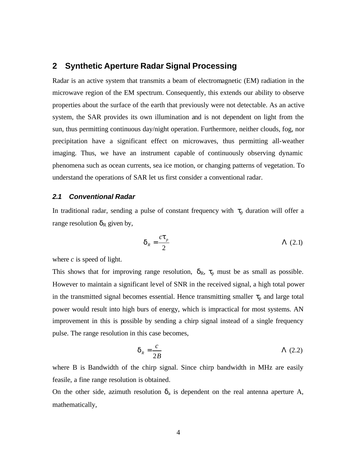# **2 Synthetic Aperture Radar Signal Processing**

Radar is an active system that transmits a beam of electromagnetic (EM) radiation in the microwave region of the EM spectrum. Consequently, this extends our ability to observe properties about the surface of the earth that previously were not detectable. As an active system, the SAR provides its own illumination and is not dependent on light from the sun, thus permitting continuous day/night operation. Furthermore, neither clouds, fog, nor precipitation have a significant effect on microwaves, thus permitting all-weather imaging. Thus, we have an instrument capable of continuously observing dynamic phenomena such as ocean currents, sea ice motion, or changing patterns of vegetation. To understand the operations of SAR let us first consider a conventional radar.

#### *2.1 Conventional Radar*

In traditional radar, sending a pulse of constant frequency with  $\tau_p$  duration will offer a range resolution  $\delta_R$  given by,

$$
\boldsymbol{d}_R = \frac{ct_p}{2} \qquad \qquad \Lambda \text{ (2.1)}
$$

where *c* is speed of light.

This shows that for improving range resolution,  $\delta_R$ ,  $\tau_p$  must be as small as possible. However to maintain a significant level of SNR in the received signal, a high total power in the transmitted signal becomes essential. Hence transmitting smaller  $\tau_p$  and large total power would result into high burs of energy, which is impractical for most systems. AN improvement in this is possible by sending a chirp signal instead of a single frequency pulse. The range resolution in this case becomes,

$$
\boldsymbol{d}_R = \frac{c}{2B} \tag{2.2}
$$

where B is Bandwidth of the chirp signal. Since chirp bandwidth in MHz are easily feasile, a fine range resolution is obtained.

On the other side, azimuth resolution  $\delta_a$  is dependent on the real antenna aperture A, mathematically,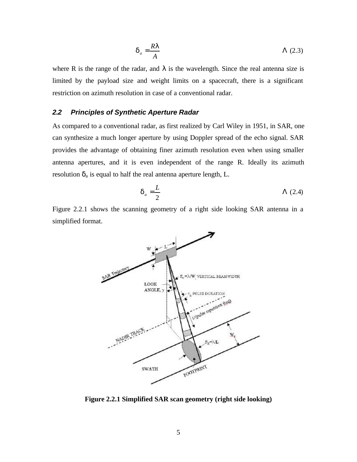$$
d_a = \frac{RI}{A} \tag{2.3}
$$

where R is the range of the radar, and  $\lambda$  is the wavelength. Since the real antenna size is limited by the payload size and weight limits on a spacecraft, there is a significant restriction on azimuth resolution in case of a conventional radar.

#### *2.2 Principles of Synthetic Aperture Radar*

As compared to a conventional radar, as first realized by Carl Wiley in 1951, in SAR, one can synthesize a much longer aperture by using Doppler spread of the echo signal. SAR provides the advantage of obtaining finer azimuth resolution even when using smaller antenna apertures, and it is even independent of the range R. Ideally its azimuth resolution  $\delta_a$  is equal to half the real antenna aperture length, L.

$$
\boldsymbol{d}_a = \frac{L}{2} \tag{2.4}
$$

Figure 2.2.1 shows the scanning geometry of a right side looking SAR antenna in a simplified format.



**Figure 2.2.1 Simplified SAR scan geometry (right side looking)**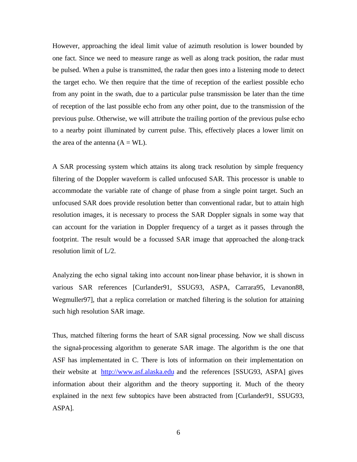However, approaching the ideal limit value of azimuth resolution is lower bounded by one fact. Since we need to measure range as well as along track position, the radar must be pulsed. When a pulse is transmitted, the radar then goes into a listening mode to detect the target echo. We then require that the time of reception of the earliest possible echo from any point in the swath, due to a particular pulse transmission be later than the time of reception of the last possible echo from any other point, due to the transmission of the previous pulse. Otherwise, we will attribute the trailing portion of the previous pulse echo to a nearby point illuminated by current pulse. This, effectively places a lower limit on the area of the antenna  $(A = WL)$ .

A SAR processing system which attains its along track resolution by simple frequency filtering of the Doppler waveform is called unfocused SAR. This processor is unable to accommodate the variable rate of change of phase from a single point target. Such an unfocused SAR does provide resolution better than conventional radar, but to attain high resolution images, it is necessary to process the SAR Doppler signals in some way that can account for the variation in Doppler frequency of a target as it passes through the footprint. The result would be a focussed SAR image that approached the along-track resolution limit of L/2.

Analyzing the echo signal taking into account non-linear phase behavior, it is shown in various SAR references [Curlander91, SSUG93, ASPA, Carrara95, Levanon88, Wegmuller97], that a replica correlation or matched filtering is the solution for attaining such high resolution SAR image.

Thus, matched filtering forms the heart of SAR signal processing. Now we shall discuss the signal-processing algorithm to generate SAR image. The algorithm is the one that ASF has implementated in C. There is lots of information on their implementation on their website at http://www.asf.alaska.edu and the references [SSUG93, ASPA] gives information about their algorithm and the theory supporting it. Much of the theory explained in the next few subtopics have been abstracted from [Curlander91, SSUG93, ASPA].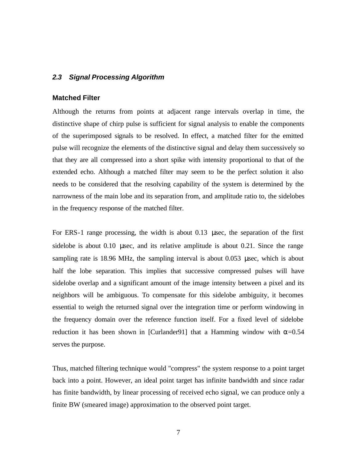#### *2.3 Signal Processing Algorithm*

#### **Matched Filter**

Although the returns from points at adjacent range intervals overlap in time, the distinctive shape of chirp pulse is sufficient for signal analysis to enable the components of the superimposed signals to be resolved. In effect, a matched filter for the emitted pulse will recognize the elements of the distinctive signal and delay them successively so that they are all compressed into a short spike with intensity proportional to that of the extended echo. Although a matched filter may seem to be the perfect solution it also needs to be considered that the resolving capability of the system is determined by the narrowness of the main lobe and its separation from, and amplitude ratio to, the sidelobes in the frequency response of the matched filter.

For ERS-1 range processing, the width is about 0.13 μsec, the separation of the first sidelobe is about 0.10 μsec, and its relative amplitude is about 0.21. Since the range sampling rate is 18.96 MHz, the sampling interval is about 0.053 μsec, which is about half the lobe separation. This implies that successive compressed pulses will have sidelobe overlap and a significant amount of the image intensity between a pixel and its neighbors will be ambiguous. To compensate for this sidelobe ambiguity, it becomes essential to weigh the returned signal over the integration time or perform windowing in the frequency domain over the reference function itself. For a fixed level of sidelobe reduction it has been shown in [Curlander91] that a Hamming window with  $\alpha$ =0.54 serves the purpose.

Thus, matched filtering technique would "compress" the system response to a point target back into a point. However, an ideal point target has infinite bandwidth and since radar has finite bandwidth, by linear processing of received echo signal, we can produce only a finite BW (smeared image) approximation to the observed point target.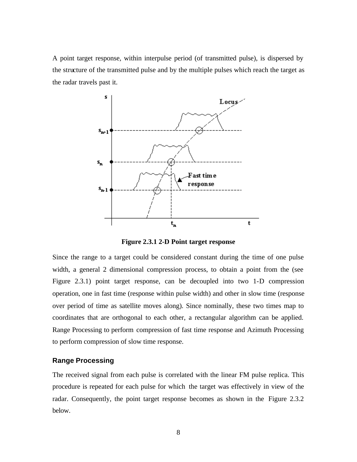A point target response, within interpulse period (of transmitted pulse), is dispersed by the structure of the transmitted pulse and by the multiple pulses which reach the target as the radar travels past it.



**Figure 2.3.1 2-D Point target response**

Since the range to a target could be considered constant during the time of one pulse width, a general 2 dimensional compression process, to obtain a point from the (see Figure 2.3.1) point target response, can be decoupled into two 1-D compression operation, one in fast time (response within pulse width) and other in slow time (response over period of time as satellite moves along). Since nominally, these two times map to coordinates that are orthogonal to each other, a rectangular algorithm can be applied. Range Processing to perform compression of fast time response and Azimuth Processing to perform compression of slow time response.

#### **Range Processing**

The received signal from each pulse is correlated with the linear FM pulse replica. This procedure is repeated for each pulse for which the target was effectively in view of the radar. Consequently, the point target response becomes as shown in the Figure 2.3.2 below.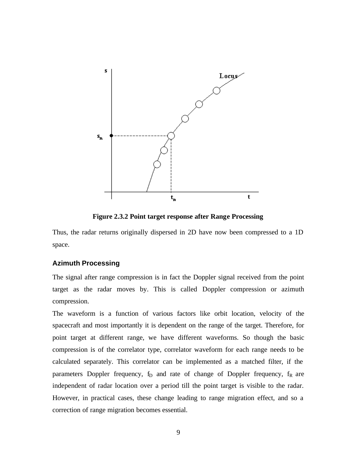

**Figure 2.3.2 Point target response after Range Processing**

Thus, the radar returns originally dispersed in 2D have now been compressed to a 1D space.

#### **Azimuth Processing**

The signal after range compression is in fact the Doppler signal received from the point target as the radar moves by. This is called Doppler compression or azimuth compression.

The waveform is a function of various factors like orbit location, velocity of the spacecraft and most importantly it is dependent on the range of the target. Therefore, for point target at different range, we have different waveforms. So though the basic compression is of the correlator type, correlator waveform for each range needs to be calculated separately. This correlator can be implemented as a matched filter, if the parameters Doppler frequency,  $f_D$  and rate of change of Doppler frequency,  $f_R$  are independent of radar location over a period till the point target is visible to the radar. However, in practical cases, these change leading to range migration effect, and so a correction of range migration becomes essential.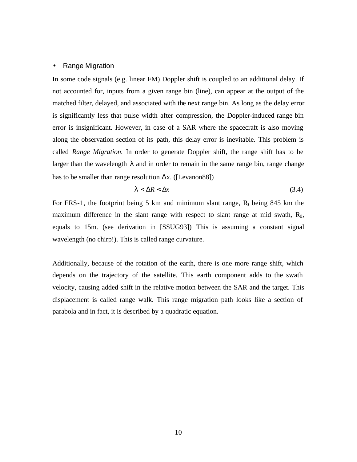#### • Range Migration

In some code signals (e.g. linear FM) Doppler shift is coupled to an additional delay. If not accounted for, inputs from a given range bin (line), can appear at the output of the matched filter, delayed, and associated with the next range bin. As long as the delay error is significantly less that pulse width after compression, the Doppler-induced range bin error is insignificant. However, in case of a SAR where the spacecraft is also moving along the observation section of its path, this delay error is inevitable. This problem is called *Range Migration.* In order to generate Doppler shift, the range shift has to be larger than the wavelength  $\lambda$  and in order to remain in the same range bin, range change has to be smaller than range resolution  $\Delta x$ . ([Levanon88])

$$
I < \Delta R < \Delta x \tag{3.4}
$$

For ERS-1, the footprint being 5 km and minimum slant range,  $R_0$  being 845 km the maximum difference in the slant range with respect to slant range at mid swath,  $R_0$ , equals to 15m. (see derivation in [SSUG93]) This is assuming a constant signal wavelength (no chirp!). This is called range curvature.

Additionally, because of the rotation of the earth, there is one more range shift, which depends on the trajectory of the satellite. This earth component adds to the swath velocity, causing added shift in the relative motion between the SAR and the target. This displacement is called range walk. This range migration path looks like a section of parabola and in fact, it is described by a quadratic equation.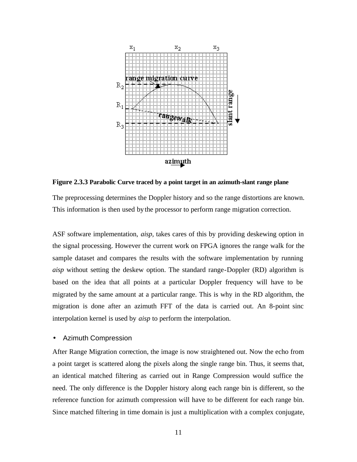

**Figure 2.3.3 Parabolic Curve traced by a point target in an azimuth-slant range plane**

The preprocessing determines the Doppler history and so the range distortions are known. This information is then used by the processor to perform range migration correction.

ASF software implementation, *aisp,* takes cares of this by providing deskewing option in the signal processing. However the current work on FPGA ignores the range walk for the sample dataset and compares the results with the software implementation by running *aisp* without setting the deskew option. The standard range-Doppler (RD) algorithm is based on the idea that all points at a particular Doppler frequency will have to be migrated by the same amount at a particular range. This is why in the RD algorithm, the migration is done after an azimuth FFT of the data is carried out. An 8-point sinc interpolation kernel is used by *aisp* to perform the interpolation.

#### • Azimuth Compression

After Range Migration correction, the image is now straightened out. Now the echo from a point target is scattered along the pixels along the single range bin. Thus, it seems that, an identical matched filtering as carried out in Range Compression would suffice the need. The only difference is the Doppler history along each range bin is different, so the reference function for azimuth compression will have to be different for each range bin. Since matched filtering in time domain is just a multiplication with a complex conjugate,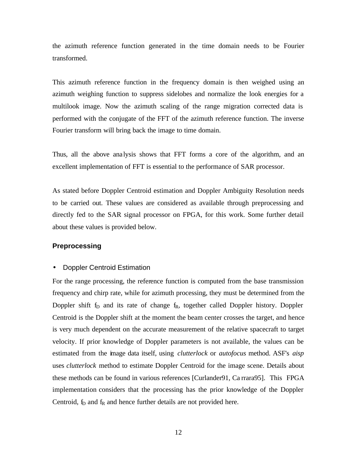the azimuth reference function generated in the time domain needs to be Fourier transformed.

This azimuth reference function in the frequency domain is then weighed using an azimuth weighing function to suppress sidelobes and normalize the look energies for a multilook image. Now the azimuth scaling of the range migration corrected data is performed with the conjugate of the FFT of the azimuth reference function. The inverse Fourier transform will bring back the image to time domain.

Thus, all the above analysis shows that FFT forms a core of the algorithm, and an excellent implementation of FFT is essential to the performance of SAR processor.

As stated before Doppler Centroid estimation and Doppler Ambiguity Resolution needs to be carried out. These values are considered as available through preprocessing and directly fed to the SAR signal processor on FPGA, for this work. Some further detail about these values is provided below.

#### **Preprocessing**

#### • Doppler Centroid Estimation

For the range processing, the reference function is computed from the base transmission frequency and chirp rate, while for azimuth processing, they must be determined from the Doppler shift  $f<sub>D</sub>$  and its rate of change  $f<sub>R</sub>$ , together called Doppler history. Doppler Centroid is the Doppler shift at the moment the beam center crosses the target, and hence is very much dependent on the accurate measurement of the relative spacecraft to target velocity. If prior knowledge of Doppler parameters is not available, the values can be estimated from the image data itself, using *clutterlock* or *autofocus* method. ASF's *aisp* uses *clutterlock* method to estimate Doppler Centroid for the image scene. Details about these methods can be found in various references [Curlander91, Ca rrara95]. This FPGA implementation considers that the processing has the prior knowledge of the Doppler Centroid,  $f_D$  and  $f_R$  and hence further details are not provided here.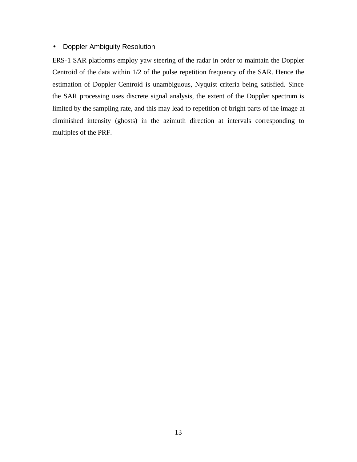#### • Doppler Ambiguity Resolution

ERS-1 SAR platforms employ yaw steering of the radar in order to maintain the Doppler Centroid of the data within 1/2 of the pulse repetition frequency of the SAR. Hence the estimation of Doppler Centroid is unambiguous, Nyquist criteria being satisfied. Since the SAR processing uses discrete signal analysis, the extent of the Doppler spectrum is limited by the sampling rate, and this may lead to repetition of bright parts of the image at diminished intensity (ghosts) in the azimuth direction at intervals corresponding to multiples of the PRF.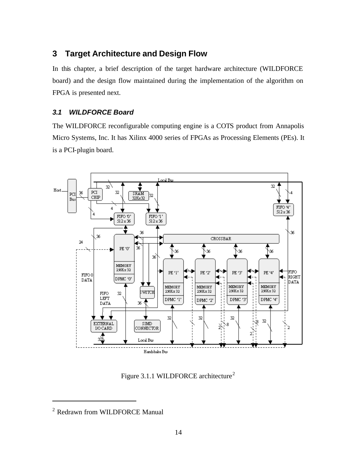# **3 Target Architecture and Design Flow**

In this chapter, a brief description of the target hardware architecture (WILDFORCE board) and the design flow maintained during the implementation of the algorithm on FPGA is presented next.

### *3.1 WILDFORCE Board*

The WILDFORCE reconfigurable computing engine is a COTS product from Annapolis Micro Systems, Inc. It has Xilinx 4000 series of FPGAs as Processing Elements (PEs). It is a PCI-plugin board.



Figure 3.1.1 WILDFORCE architecture<sup>2</sup>

 $\overline{a}$ 

<sup>&</sup>lt;sup>2</sup> Redrawn from WILDFORCE Manual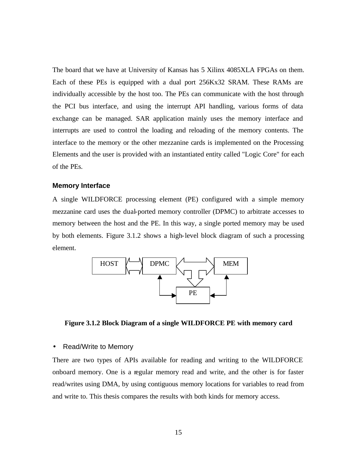The board that we have at University of Kansas has 5 Xilinx 4085XLA FPGAs on them. Each of these PEs is equipped with a dual port 256Kx32 SRAM. These RAMs are individually accessible by the host too. The PEs can communicate with the host through the PCI bus interface, and using the interrupt API handling, various forms of data exchange can be managed. SAR application mainly uses the memory interface and interrupts are used to control the loading and reloading of the memory contents. The interface to the memory or the other mezzanine cards is implemented on the Processing Elements and the user is provided with an instantiated entity called "Logic Core" for each of the PEs.

#### **Memory Interface**

A single WILDFORCE processing element (PE) configured with a simple memory mezzanine card uses the dual-ported memory controller (DPMC) to arbitrate accesses to memory between the host and the PE. In this way, a single ported memory may be used by both elements. Figure 3.1.2 shows a high-level block diagram of such a processing element.



**Figure 3.1.2 Block Diagram of a single WILDFORCE PE with memory card**

#### • Read/Write to Memory

There are two types of APIs available for reading and writing to the WILDFORCE onboard memory. One is a regular memory read and write, and the other is for faster read/writes using DMA, by using contiguous memory locations for variables to read from and write to. This thesis compares the results with both kinds for memory access.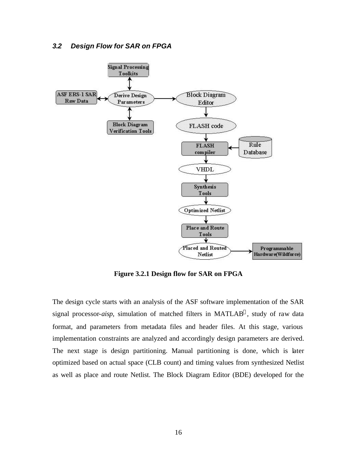

**Figure 3.2.1 Design flow for SAR on FPGA**

The design cycle starts with an analysis of the ASF software implementation of the SAR signal processor-*aisp*, simulation of matched filters in MATLAB®, study of raw data format, and parameters from metadata files and header files. At this stage, various implementation constraints are analyzed and accordingly design parameters are derived. The next stage is design partitioning. Manual partitioning is done, which is later optimized based on actual space (CLB count) and timing values from synthesized Netlist as well as place and route Netlist. The Block Diagram Editor (BDE) developed for the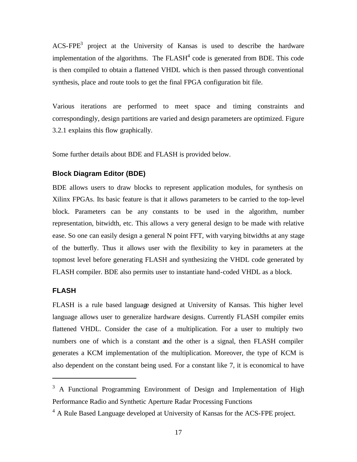$ACS-FPE<sup>3</sup>$  project at the University of Kansas is used to describe the hardware implementation of the algorithms. The  $FLASH<sup>4</sup>$  code is generated from BDE. This code is then compiled to obtain a flattened VHDL which is then passed through conventional synthesis, place and route tools to get the final FPGA configuration bit file.

Various iterations are performed to meet space and timing constraints and correspondingly, design partitions are varied and design parameters are optimized. Figure 3.2.1 explains this flow graphically.

Some further details about BDE and FLASH is provided below.

#### **Block Diagram Editor (BDE)**

BDE allows users to draw blocks to represent application modules, for synthesis on Xilinx FPGAs. Its basic feature is that it allows parameters to be carried to the top-level block. Parameters can be any constants to be used in the algorithm, number representation, bitwidth, etc. This allows a very general design to be made with relative ease. So one can easily design a general N point FFT, with varying bitwidths at any stage of the butterfly. Thus it allows user with the flexibility to key in parameters at the topmost level before generating FLASH and synthesizing the VHDL code generated by FLASH compiler. BDE also permits user to instantiate hand-coded VHDL as a block.

#### **FLASH**

 $\overline{a}$ 

FLASH is a rule based language designed at University of Kansas. This higher level language allows user to generalize hardware designs. Currently FLASH compiler emits flattened VHDL. Consider the case of a multiplication. For a user to multiply two numbers one of which is a constant and the other is a signal, then FLASH compiler generates a KCM implementation of the multiplication. Moreover, the type of KCM is also dependent on the constant being used. For a constant like 7, it is economical to have

 $3$  A Functional Programming Environment of Design and Implementation of High Performance Radio and Synthetic Aperture Radar Processing Functions

<sup>&</sup>lt;sup>4</sup> A Rule Based Language developed at University of Kansas for the ACS-FPE project.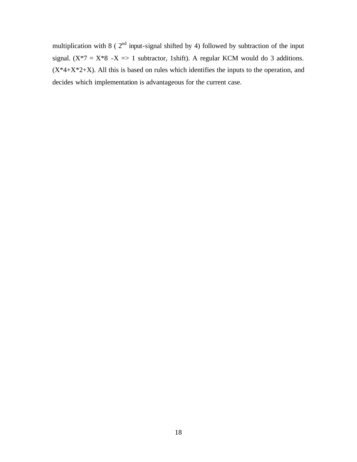multiplication with 8 ( $2<sup>nd</sup>$  input-signal shifted by 4) followed by subtraction of the input signal. ( $X^*7 = X^*8 - X \implies 1$  subtractor, 1shift). A regular KCM would do 3 additions.  $(X^*4+X^*2+X)$ . All this is based on rules which identifies the inputs to the operation, and decides which implementation is advantageous for the current case.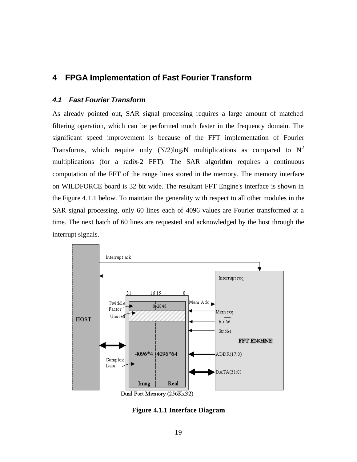# **4 FPGA Implementation of Fast Fourier Transform**

### *4.1 Fast Fourier Transform*

As already pointed out, SAR signal processing requires a large amount of matched filtering operation, which can be performed much faster in the frequency domain. The significant speed improvement is because of the FFT implementation of Fourier Transforms, which require only  $(N/2)log_2N$  multiplications as compared to  $N^2$ multiplications (for a radix-2 FFT). The SAR algorithm requires a continuous computation of the FFT of the range lines stored in the memory. The memory interface on WILDFORCE board is 32 bit wide. The resultant FFT Engine's interface is shown in the Figure 4.1.1 below. To maintain the generality with respect to all other modules in the SAR signal processing, only 60 lines each of 4096 values are Fourier transformed at a time. The next batch of 60 lines are requested and acknowledged by the host through the interrupt signals.



**Figure 4.1.1 Interface Diagram**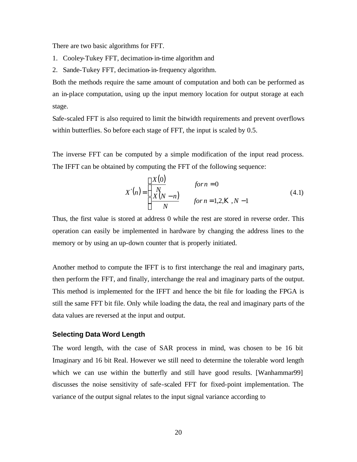There are two basic algorithms for FFT.

- 1. Cooley-Tukey FFT, decimation-in-time algorithm and
- 2. Sande-Tukey FFT, decimation-in-frequency algorithm.

Both the methods require the same amount of computation and both can be performed as an in-place computation, using up the input memory location for output storage at each stage.

Safe-scaled FFT is also required to limit the bitwidth requirements and prevent overflows within butterflies. So before each stage of FFT, the input is scaled by 0.5.

The inverse FFT can be computed by a simple modification of the input read process. The IFFT can be obtained by computing the FFT of the following sequence:

$$
X'(n) = \begin{cases} \frac{X(0)}{N} & \text{for } n = 0\\ \frac{X(N-n)}{N} & \text{for } n = 1,2, K, N-1 \end{cases}
$$
(4.1)

Thus, the first value is stored at address 0 while the rest are stored in reverse order. This operation can easily be implemented in hardware by changing the address lines to the memory or by using an up-down counter that is properly initiated.

Another method to compute the IFFT is to first interchange the real and imaginary parts, then perform the FFT, and finally, interchange the real and imaginary parts of the output. This method is implemented for the IFFT and hence the bit file for loading the FPGA is still the same FFT bit file. Only while loading the data, the real and imaginary parts of the data values are reversed at the input and output.

#### **Selecting Data Word Length**

The word length, with the case of SAR process in mind, was chosen to be 16 bit Imaginary and 16 bit Real. However we still need to determine the tolerable word length which we can use within the butterfly and still have good results. [Wanhammar99] discusses the noise sensitivity of safe-scaled FFT for fixed-point implementation. The variance of the output signal relates to the input signal variance according to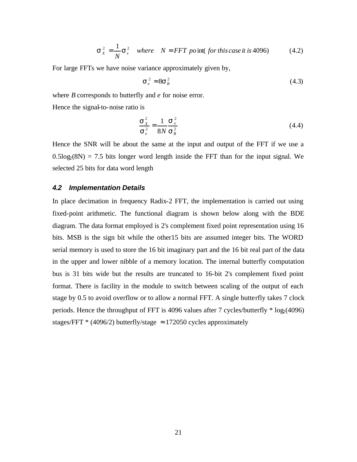$$
\mathbf{S}_x^2 = \frac{1}{N} \mathbf{S}_x^2 \quad \text{where} \quad N = FFT \text{ point} \text{ (for this case it is 4096)} \tag{4.2}
$$

For large FFTs we have noise variance approximately given by,

$$
\mathbf{S}_e^2 \approx 8\mathbf{S}_B^2 \tag{4.3}
$$

where *B* corresponds to butterfly and *e* for noise error.

Hence the signal-to-noise ratio is

$$
\frac{\mathbf{s}_x^2}{\mathbf{s}_e^2} = \frac{1}{8N} \frac{\mathbf{s}_x^2}{\mathbf{s}_B^2}
$$
(4.4)

Hence the SNR will be about the same at the input and output of the FFT if we use a  $0.5\log_2(8N) = 7.5$  bits longer word length inside the FFT than for the input signal. We selected 25 bits for data word length

#### *4.2 Implementation Details*

In place decimation in frequency Radix-2 FFT, the implementation is carried out using fixed-point arithmetic. The functional diagram is shown below along with the BDE diagram. The data format employed is 2's complement fixed point representation using 16 bits. MSB is the sign bit while the other15 bits are assumed integer bits. The WORD serial memory is used to store the 16 bit imaginary part and the 16 bit real part of the data in the upper and lower nibble of a memory location. The internal butterfly computation bus is 31 bits wide but the results are truncated to 16-bit 2's complement fixed point format. There is facility in the module to switch between scaling of the output of each stage by 0.5 to avoid overflow or to allow a normal FFT. A single butterfly takes 7 clock periods. Hence the throughput of FFT is 4096 values after 7 cycles/butterfly  $*$  log<sub>2</sub>(4096) stages/FFT  $*(4096/2)$  butterfly/stage  $\approx 172050$  cycles approximately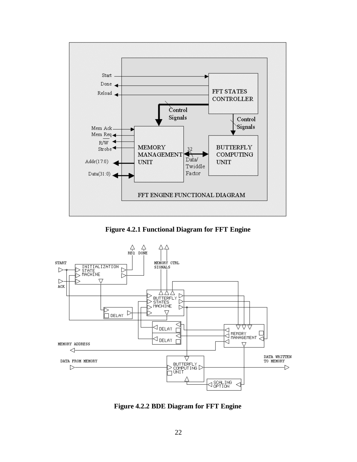

**Figure 4.2.1 Functional Diagram for FFT Engine**



**Figure 4.2.2 BDE Diagram for FFT Engine**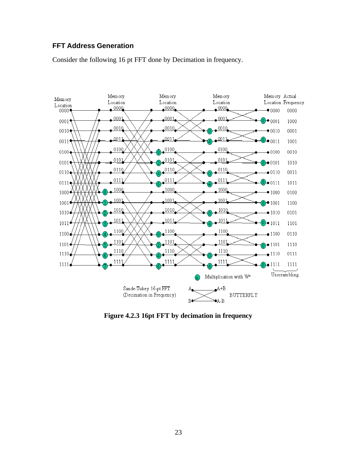### **FFT Address Generation**

Consider the following 16 pt FFT done by Decimation in frequency.



**Figure 4.2.3 16pt FFT by decimation in frequency**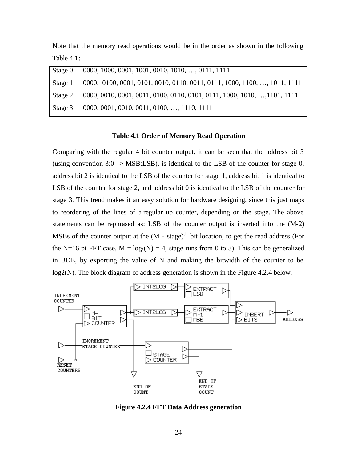Note that the memory read operations would be in the order as shown in the following Table 4.1:

| Stage 0 | $\vert$ 0000, 1000, 0001, 1001, 0010, 1010, , 0111, 1111                           |
|---------|------------------------------------------------------------------------------------|
|         | Stage 1   0000, 0100, 0001, 0101, 0010, 0110, 0011, 0111, 1000, 1100, , 1011, 1111 |
|         | Stage 2   0000, 0010, 0001, 0011, 0100, 0110, 0101, 0111, 1000, 1010, , 1101, 1111 |
| Stage 3 | $\vert$ 0000, 0001, 0010, 0011, 0100, , 1110, 1111                                 |

#### **Table 4.1 Order of Memory Read Operation**

Comparing with the regular 4 bit counter output, it can be seen that the address bit 3 (using convention 3:0 -> MSB:LSB), is identical to the LSB of the counter for stage 0, address bit 2 is identical to the LSB of the counter for stage 1, address bit 1 is identical to LSB of the counter for stage 2, and address bit 0 is identical to the LSB of the counter for stage 3. This trend makes it an easy solution for hardware designing, since this just maps to reordering of the lines of a regular up counter, depending on the stage. The above statements can be rephrased as: LSB of the counter output is inserted into the (M-2) MSBs of the counter output at the  $(M - stage)^{th}$  bit location, to get the read address (For the N=16 pt FFT case,  $M = log_2(N) = 4$ , stage runs from 0 to 3). This can be generalized in BDE, by exporting the value of N and making the bitwidth of the counter to be log2(N). The block diagram of address generation is shown in the Figure 4.2.4 below.



**Figure 4.2.4 FFT Data Address generation**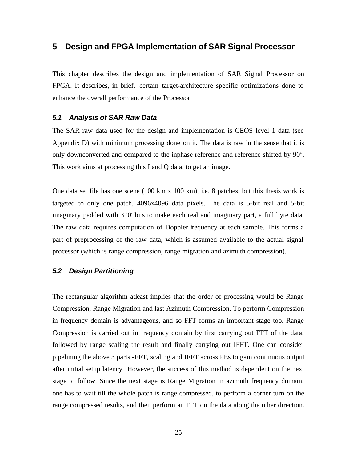# **5 Design and FPGA Implementation of SAR Signal Processor**

This chapter describes the design and implementation of SAR Signal Processor on FPGA. It describes, in brief, certain target-architecture specific optimizations done to enhance the overall performance of the Processor.

#### *5.1 Analysis of SAR Raw Data*

The SAR raw data used for the design and implementation is CEOS level 1 data (see Appendix D) with minimum processing done on it. The data is raw in the sense that it is only downconverted and compared to the inphase reference and reference shifted by  $90^\circ$ . This work aims at processing this I and Q data, to get an image.

One data set file has one scene (100 km x 100 km), i.e. 8 patches, but this thesis work is targeted to only one patch, 4096x4096 data pixels. The data is 5-bit real and 5-bit imaginary padded with 3 '0' bits to make each real and imaginary part, a full byte data. The raw data requires computation of Doppler frequency at each sample. This forms a part of preprocessing of the raw data, which is assumed available to the actual signal processor (which is range compression, range migration and azimuth compression).

#### *5.2 Design Partitioning*

The rectangular algorithm atleast implies that the order of processing would be Range Compression, Range Migration and last Azimuth Compression. To perform Compression in frequency domain is advantageous, and so FFT forms an important stage too. Range Compression is carried out in frequency domain by first carrying out FFT of the data, followed by range scaling the result and finally carrying out IFFT. One can consider pipelining the above 3 parts -FFT, scaling and IFFT across PEs to gain continuous output after initial setup latency. However, the success of this method is dependent on the next stage to follow. Since the next stage is Range Migration in azimuth frequency domain, one has to wait till the whole patch is range compressed, to perform a corner turn on the range compressed results, and then perform an FFT on the data along the other direction.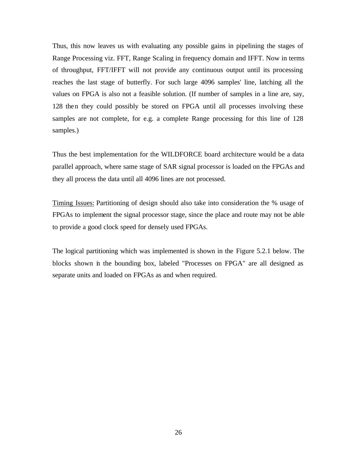Thus, this now leaves us with evaluating any possible gains in pipelining the stages of Range Processing viz. FFT, Range Scaling in frequency domain and IFFT. Now in terms of throughput, FFT/IFFT will not provide any continuous output until its processing reaches the last stage of butterfly. For such large 4096 samples' line, latching all the values on FPGA is also not a feasible solution. (If number of samples in a line are, say, 128 then they could possibly be stored on FPGA until all processes involving these samples are not complete, for e.g. a complete Range processing for this line of 128 samples.)

Thus the best implementation for the WILDFORCE board architecture would be a data parallel approach, where same stage of SAR signal processor is loaded on the FPGAs and they all process the data until all 4096 lines are not processed.

Timing Issues: Partitioning of design should also take into consideration the % usage of FPGAs to implement the signal processor stage, since the place and route may not be able to provide a good clock speed for densely used FPGAs.

The logical partitioning which was implemented is shown in the Figure 5.2.1 below. The blocks shown in the bounding box, labeled "Processes on FPGA" are all designed as separate units and loaded on FPGAs as and when required.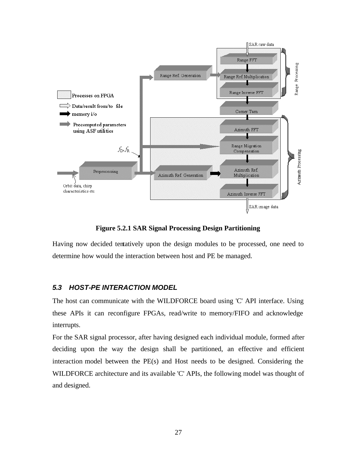

**Figure 5.2.1 SAR Signal Processing Design Partitioning**

Having now decided tentatively upon the design modules to be processed, one need to determine how would the interaction between host and PE be managed.

#### *5.3 HOST-PE INTERACTION MODEL*

The host can communicate with the WILDFORCE board using 'C' API interface. Using these APIs it can reconfigure FPGAs, read/write to memory/FIFO and acknowledge interrupts.

For the SAR signal processor, after having designed each individual module, formed after deciding upon the way the design shall be partitioned, an effective and efficient interaction model between the PE(s) and Host needs to be designed. Considering the WILDFORCE architecture and its available 'C' APIs, the following model was thought of and designed.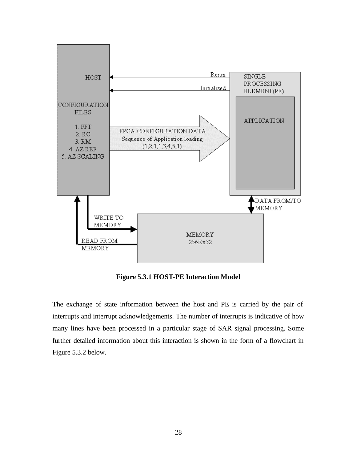

**Figure 5.3.1 HOST-PE Interaction Model**

The exchange of state information between the host and PE is carried by the pair of interrupts and interrupt acknowledgements. The number of interrupts is indicative of how many lines have been processed in a particular stage of SAR signal processing. Some further detailed information about this interaction is shown in the form of a flowchart in Figure 5.3.2 below.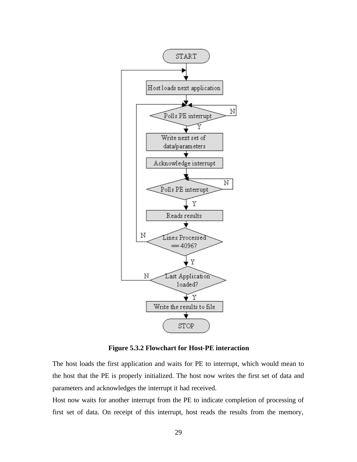

**Figure 5.3.2 Flowchart for Host-PE interaction**

The host loads the first application and waits for PE to interrupt, which would mean to the host that the PE is properly initialized. The host now writes the first set of data and parameters and acknowledges the interrupt it had received.

Host now waits for another interrupt from the PE to indicate completion of processing of first set of data. On receipt of this interrupt, host reads the results from the memory,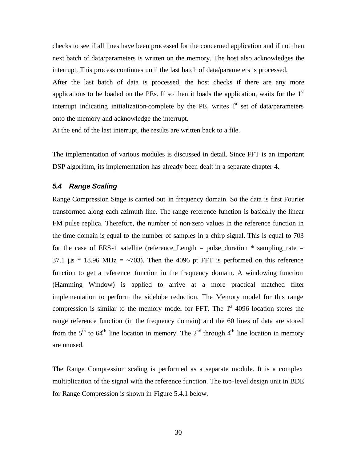checks to see if all lines have been processed for the concerned application and if not then next batch of data/parameters is written on the memory. The host also acknowledges the interrupt. This process continues until the last batch of data/parameters is processed.

After the last batch of data is processed, the host checks if there are any more applications to be loaded on the PEs. If so then it loads the application, waits for the  $1<sup>st</sup>$ interrupt indicating initialization-complete by the PE, writes  $1<sup>st</sup>$  set of data/parameters onto the memory and acknowledge the interrupt.

At the end of the last interrupt, the results are written back to a file.

The implementation of various modules is discussed in detail. Since FFT is an important DSP algorithm, its implementation has already been dealt in a separate chapter 4.

#### *5.4 Range Scaling*

Range Compression Stage is carried out in frequency domain. So the data is first Fourier transformed along each azimuth line. The range reference function is basically the linear FM pulse replica. Therefore, the number of non-zero values in the reference function in the time domain is equal to the number of samples in a chirp signal. This is equal to 703 for the case of ERS-1 satellite (reference Length  $=$  pulse duration  $*$  sampling rate  $=$ 37.1 μs  $*$  18.96 MHz =  $\sim$ 703). Then the 4096 pt FFT is performed on this reference function to get a reference function in the frequency domain. A windowing function (Hamming Window) is applied to arrive at a more practical matched filter implementation to perform the sidelobe reduction. The Memory model for this range compression is similar to the memory model for FFT. The  $1<sup>st</sup>$  4096 location stores the range reference function (in the frequency domain) and the 60 lines of data are stored from the  $5<sup>th</sup>$  to  $64<sup>th</sup>$  line location in memory. The  $2<sup>nd</sup>$  through  $4<sup>th</sup>$  line location in memory are unused.

The Range Compression scaling is performed as a separate module. It is a complex multiplication of the signal with the reference function. The top-level design unit in BDE for Range Compression is shown in Figure 5.4.1 below.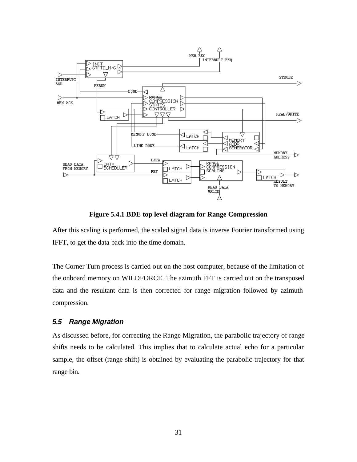

**Figure 5.4.1 BDE top level diagram for Range Compression**

After this scaling is performed, the scaled signal data is inverse Fourier transformed using IFFT, to get the data back into the time domain.

The Corner Turn process is carried out on the host computer, because of the limitation of the onboard memory on WILDFORCE. The azimuth FFT is carried out on the transposed data and the resultant data is then corrected for range migration followed by azimuth compression.

#### *5.5 Range Migration*

As discussed before, for correcting the Range Migration, the parabolic trajectory of range shifts needs to be calculated. This implies that to calculate actual echo for a particular sample, the offset (range shift) is obtained by evaluating the parabolic trajectory for that range bin.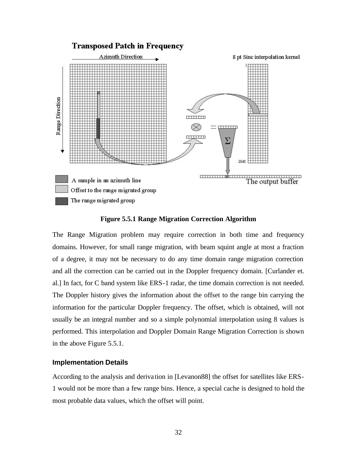

**Figure 5.5.1 Range Migration Correction Algorithm**

The Range Migration problem may require correction in both time and frequency domains. However, for small range migration, with beam squint angle at most a fraction of a degree, it may not be necessary to do any time domain range migration correction and all the correction can be carried out in the Doppler frequency domain. [Curlander et. al.] In fact, for C band system like ERS-1 radar, the time domain correction is not needed. The Doppler history gives the information about the offset to the range bin carrying the information for the particular Doppler frequency. The offset, which is obtained, will not usually be an integral number and so a simple polynomial interpolation using 8 values is performed. This interpolation and Doppler Domain Range Migration Correction is shown in the above Figure 5.5.1.

#### **Implementation Details**

According to the analysis and deriva tion in [Levanon88] the offset for satellites like ERS-1 would not be more than a few range bins. Hence, a special cache is designed to hold the most probable data values, which the offset will point.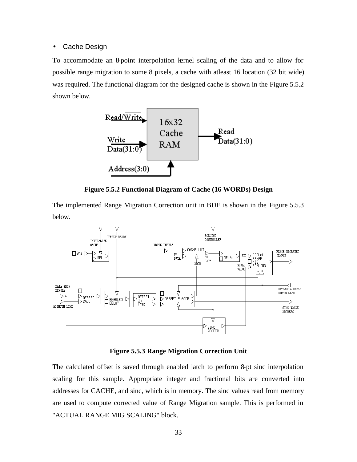#### • Cache Design

To accommodate an 8-point interpolation kernel scaling of the data and to allow for possible range migration to some 8 pixels, a cache with atleast 16 location (32 bit wide) was required. The functional diagram for the designed cache is shown in the Figure 5.5.2 shown below.



**Figure 5.5.2 Functional Diagram of Cache (16 WORDs) Design**

The implemented Range Migration Correction unit in BDE is shown in the Figure 5.5.3 below.



**Figure 5.5.3 Range Migration Correction Unit**

The calculated offset is saved through enabled latch to perform 8-pt sinc interpolation scaling for this sample. Appropriate integer and fractional bits are converted into addresses for CACHE, and sinc, which is in memory. The sinc values read from memory are used to compute corrected value of Range Migration sample. This is performed in "ACTUAL RANGE MIG SCALING" block.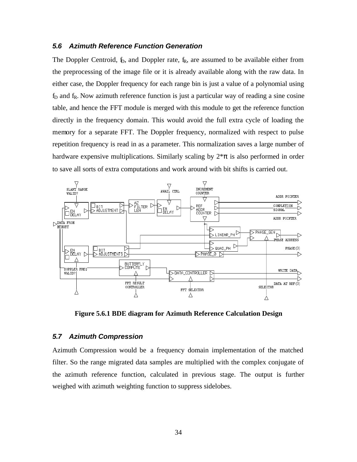#### *5.6 Azimuth Reference Function Generation*

The Doppler Centroid,  $f<sub>D</sub>$ , and Doppler rate,  $f<sub>R</sub>$ , are assumed to be available either from the preprocessing of the image file or it is already available along with the raw data. In either case, the Doppler frequency for each range bin is just a value of a polynomial using  $f<sub>D</sub>$  and  $f<sub>R</sub>$ . Now azimuth reference function is just a particular way of reading a sine cosine table, and hence the FFT module is merged with this module to get the reference function directly in the frequency domain. This would avoid the full extra cycle of loading the memory for a separate FFT. The Doppler frequency, normalized with respect to pulse repetition frequency is read in as a parameter. This normalization saves a large number of hardware expensive multiplications. Similarly scaling by  $2*\pi$  is also performed in order to save all sorts of extra computations and work around with bit shifts is carried out.



**Figure 5.6.1 BDE diagram for Azimuth Reference Calculation Design**

#### *5.7 Azimuth Compression*

Azimuth Compression would be a frequency domain implementation of the matched filter. So the range migrated data samples are multiplied with the complex conjugate of the azimuth reference function, calculated in previous stage. The output is further weighed with azimuth weighting function to suppress sidelobes.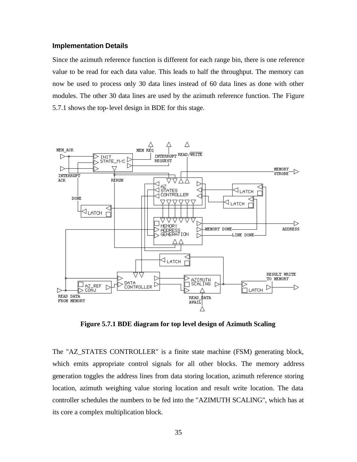#### **Implementation Details**

Since the azimuth reference function is different for each range bin, there is one reference value to be read for each data value. This leads to half the throughput. The memory can now be used to process only 30 data lines instead of 60 data lines as done with other modules. The other 30 data lines are used by the azimuth reference function. The Figure 5.7.1 shows the top-level design in BDE for this stage.



**Figure 5.7.1 BDE diagram for top level design of Azimuth Scaling**

The "AZ\_STATES CONTROLLER" is a finite state machine (FSM) generating block, which emits appropriate control signals for all other blocks. The memory address generation toggles the address lines from data storing location, azimuth reference storing location, azimuth weighing value storing location and result write location. The data controller schedules the numbers to be fed into the "AZIMUTH SCALING", which has at its core a complex multiplication block.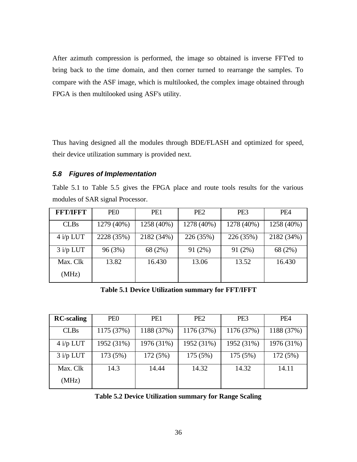After azimuth compression is performed, the image so obtained is inverse FFT'ed to bring back to the time domain, and then corner turned to rearrange the samples. To compare with the ASF image, which is multilooked, the complex image obtained through FPGA is then multilooked using ASF's utility.

Thus having designed all the modules through BDE/FLASH and optimized for speed, their device utilization summary is provided next.

#### *5.8 Figures of Implementation*

Table 5.1 to Table 5.5 gives the FPGA place and route tools results for the various modules of SAR signal Processor.

| <b>FET/IEFT</b> | PE <sub>0</sub> | PE <sub>1</sub> | PE <sub>2</sub> | PE <sub>3</sub> | PE <sub>4</sub> |
|-----------------|-----------------|-----------------|-----------------|-----------------|-----------------|
| <b>CLBs</b>     | 1279 (40%)      | 1258 (40%)      | 1278 (40%)      | 1278 (40%)      | 1258 (40%)      |
| $4 i/p$ LUT     | 2228 (35%)      | 2182 (34%)      | 226 (35%)       | 226 (35%)       | 2182 (34%)      |
| $3$ i/p LUT     | 96(3%)          | 68 (2%)         | 91(2%)          | 91(2%)          | 68 (2%)         |
| Max. Clk        | 13.82           | 16.430          | 13.06           | 13.52           | 16.430          |
| (MHz)           |                 |                 |                 |                 |                 |

**Table 5.1 Device Utilization summary for FFT/IFFT**

| <b>RC-scaling</b> | PE <sub>0</sub> | PE1        | PE <sub>2</sub> | PE <sub>3</sub> | PE <sub>4</sub> |
|-------------------|-----------------|------------|-----------------|-----------------|-----------------|
| <b>CLBs</b>       | 1175 (37%)      | 1188 (37%) | 1176 (37%)      | 1176 (37%)      | 1188 (37%)      |
| $4$ i/p LUT       | 1952 (31%)      | 1976 (31%) | 1952 (31%)      | 1952 (31%)      | 1976 (31%)      |
| $3$ i/p LUT       | 173 (5%)        | 172(5%)    | 175 (5%)        | 175 (5%)        | 172 (5%)        |
| Max. Clk          | 14.3            | 14.44      | 14.32           | 14.32           | 14.11           |
| (MHz)             |                 |            |                 |                 |                 |

**Table 5.2 Device Utilization summary for Range Scaling**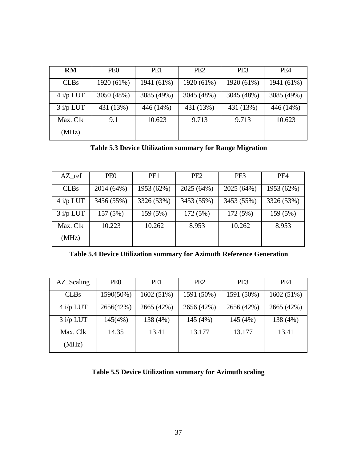| RM          | PE <sub>0</sub> | PE1        | PE <sub>2</sub> | PE <sub>3</sub> | PE <sub>4</sub> |
|-------------|-----------------|------------|-----------------|-----------------|-----------------|
| <b>CLBs</b> | 1920 (61%)      | 1941 (61%) | 1920 (61%)      | 1920 (61%)      | 1941 (61%)      |
| $4$ i/p LUT | 3050 (48%)      | 3085 (49%) | 3045 (48%)      | 3045 (48%)      | 3085 (49%)      |
| $3$ i/p LUT | 431 (13%)       | 446 (14%)  | 431 (13%)       | 431 (13%)       | 446 (14%)       |
| Max. Clk    | 9.1             | 10.623     | 9.713           | 9.713           | 10.623          |
| (MHz)       |                 |            |                 |                 |                 |

**Table 5.3 Device Utilization summary for Range Migration**

| AZ ref      | PE <sub>0</sub> | PE1        | PE <sub>2</sub> | PE <sub>3</sub> | PE4        |
|-------------|-----------------|------------|-----------------|-----------------|------------|
| <b>CLBs</b> | 2014 (64%)      | 1953 (62%) | 2025 (64%)      | 2025 (64%)      | 1953 (62%) |
| $4$ i/p LUT | 3456 (55%)      | 3326 (53%) | 3453 (55%)      | 3453 (55%)      | 3326 (53%) |
| $3$ i/p LUT | 157(5%)         | 159 (5%)   | 172(5%)         | 172 (5%)        | 159 (5%)   |
| Max. Clk    | 10.223          | 10.262     | 8.953           | 10.262          | 8.953      |
| (MHz)       |                 |            |                 |                 |            |

**Table 5.4 Device Utilization summary for Azimuth Reference Generation**

| AZ_Scaling  | PE <sub>0</sub> | PE1        | PE <sub>2</sub> | PE <sub>3</sub> | PE <sub>4</sub> |
|-------------|-----------------|------------|-----------------|-----------------|-----------------|
| <b>CLBs</b> | 1590(50%)       | 1602 (51%) | 1591 (50%)      | 1591 (50%)      | 1602 (51%)      |
| $4$ i/p LUT | 2656(42%)       | 2665 (42%) | 2656 (42%)      | 2656 (42%)      | 2665 (42%)      |
| $3$ i/p LUT | 145(4%)         | 138 (4%)   | 145 (4%)        | 145 (4%)        | 138 (4%)        |
| Max. Clk    | 14.35           | 13.41      | 13.177          | 13.177          | 13.41           |
| (MHz)       |                 |            |                 |                 |                 |

**Table 5.5 Device Utilization summary for Azimuth scaling**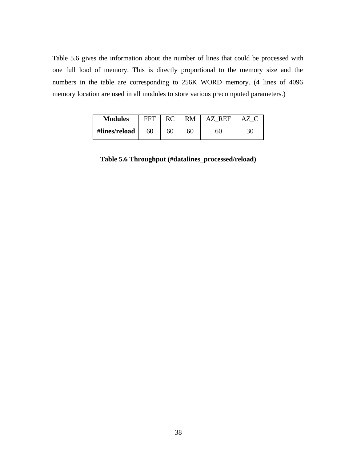Table 5.6 gives the information about the number of lines that could be processed with one full load of memory. This is directly proportional to the memory size and the numbers in the table are corresponding to 256K WORD memory. (4 lines of 4096 memory location are used in all modules to store various precomputed parameters.)

| <b>Modules</b> | <b>FFT</b> |    | RM | AZ REF |    |
|----------------|------------|----|----|--------|----|
| #lines/reload  | 60         | 60 | 60 | 60     | 30 |

**Table 5.6 Throughput (#datalines\_processed/reload)**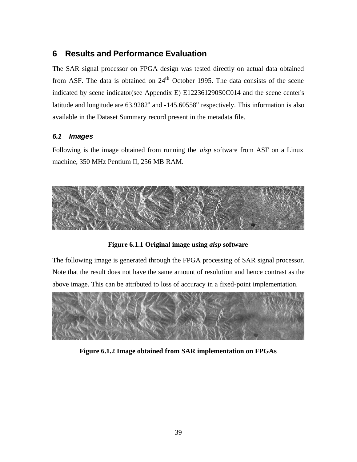# **6 Results and Performance Evaluation**

The SAR signal processor on FPGA design was tested directly on actual data obtained from ASF. The data is obtained on  $24<sup>th</sup>$  October 1995. The data consists of the scene indicated by scene indicator(see Appendix E) E122361290S0C014 and the scene center's latitude and longitude are  $63.9282^{\circ}$  and  $-145.60558^{\circ}$  respectively. This information is also available in the Dataset Summary record present in the metadata file.

# *6.1 Images*

Following is the image obtained from running the *aisp* software from ASF on a Linux machine, 350 MHz Pentium II, 256 MB RAM.



**Figure 6.1.1 Original image using** *aisp* **software**

The following image is generated through the FPGA processing of SAR signal processor. Note that the result does not have the same amount of resolution and hence contrast as the above image. This can be attributed to loss of accuracy in a fixed-point implementation.



**Figure 6.1.2 Image obtained from SAR implementation on FPGAs**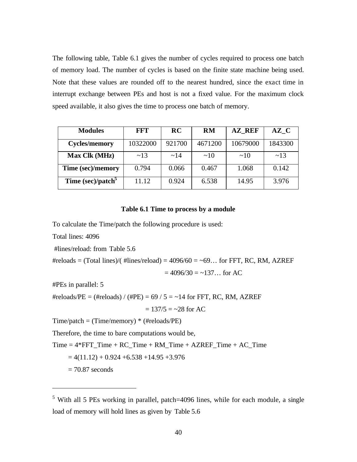The following table, Table 6.1 gives the number of cycles required to process one batch of memory load. The number of cycles is based on the finite state machine being used. Note that these values are rounded off to the nearest hundred, since the exact time in interrupt exchange between PEs and host is not a fixed value. For the maximum clock speed available, it also gives the time to process one batch of memory.

| <b>Modules</b>                | FFT      | <b>RC</b> | <b>RM</b> | <b>AZ REF</b> | AZ C    |
|-------------------------------|----------|-----------|-----------|---------------|---------|
| <b>Cycles/memory</b>          | 10322000 | 921700    | 4671200   | 10679000      | 1843300 |
| Max Clk (MHz)                 | ~13      | $\sim$ 14 | $\sim$ 10 | $\sim$ 10     | ~13     |
| Time (sec)/memory             | 0.794    | 0.066     | 0.467     | 1.068         | 0.142   |
| Time (sec)/patch <sup>3</sup> | 11.12    | 0.924     | 6.538     | 14.95         | 3.976   |

#### **Table 6.1 Time to process by a module**

To calculate the Time/patch the following procedure is used:

Total lines: 4096

#lines/reload: from Table 5.6

#reloads = (Total lines)/( #lines/reload) =  $4096/60 = -69...$  for FFT, RC, RM, AZREF

$$
= 4096/30 = -137...
$$
 for AC

#PEs in parallel: 5

#reloads/PE = (#reloads) / (#PE) =  $69/5 = -14$  for FFT, RC, RM, AZREF

 $= 137/5 = -28$  for AC

 $Time/patch = (Time/memory) * (Hreloads/PE)$ 

Therefore, the time to bare computations would be,

 $Time = 4*FFT$   $Time + RC$   $Time + RM$   $Time + AZREF$   $Time + AC$   $Time$ 

 $= 4(11.12) + 0.924 + 6.538 + 14.95 + 3.976$ 

 $= 70.87$  seconds

 $\overline{a}$ 

<sup>&</sup>lt;sup>5</sup> With all 5 PEs working in parallel, patch=4096 lines, while for each module, a single load of memory will hold lines as given by Table 5.6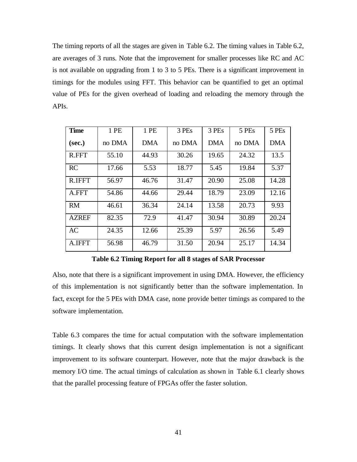The timing reports of all the stages are given in Table 6.2. The timing values in Table 6.2, are averages of 3 runs. Note that the improvement for smaller processes like RC and AC is not available on upgrading from 1 to 3 to 5 PEs. There is a significant improvement in timings for the modules using FFT. This behavior can be quantified to get an optimal value of PEs for the given overhead of loading and reloading the memory through the APIs.

| <b>Time</b>   | 1 PE   | 1 PE  | 3 PEs  | 3 PEs | 5 PEs  | 5 PEs      |
|---------------|--------|-------|--------|-------|--------|------------|
| (sec.)        | no DMA | DMA   | no DMA | DMA   | no DMA | <b>DMA</b> |
| R.FFT         | 55.10  | 44.93 | 30.26  | 19.65 | 24.32  | 13.5       |
| RC            | 17.66  | 5.53  | 18.77  | 5.45  | 19.84  | 5.37       |
| <b>R.IFFT</b> | 56.97  | 46.76 | 31.47  | 20.90 | 25.08  | 14.28      |
| A.FFT         | 54.86  | 44.66 | 29.44  | 18.79 | 23.09  | 12.16      |
| <b>RM</b>     | 46.61  | 36.34 | 24.14  | 13.58 | 20.73  | 9.93       |
| <b>AZREF</b>  | 82.35  | 72.9  | 41.47  | 30.94 | 30.89  | 20.24      |
| <b>AC</b>     | 24.35  | 12.66 | 25.39  | 5.97  | 26.56  | 5.49       |
| A.IFFT        | 56.98  | 46.79 | 31.50  | 20.94 | 25.17  | 14.34      |

**Table 6.2 Timing Report for all 8 stages of SAR Processor**

Also, note that there is a significant improvement in using DMA. However, the efficiency of this implementation is not significantly better than the software implementation. In fact, except for the 5 PEs with DMA case, none provide better timings as compared to the software implementation.

Table 6.3 compares the time for actual computation with the software implementation timings. It clearly shows that this current design implementation is not a significant improvement to its software counterpart. However, note that the major drawback is the memory I/O time. The actual timings of calculation as shown in Table 6.1 clearly shows that the parallel processing feature of FPGAs offer the faster solution.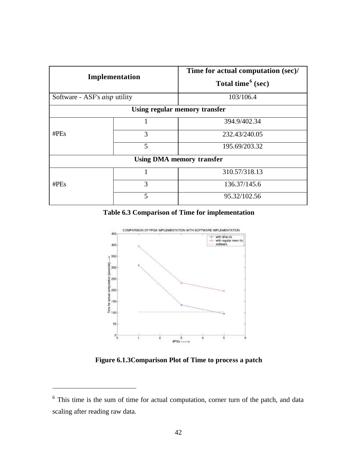| Implementation                       |   | Time for actual computation (sec)/<br>Total time <sup>6</sup> (sec) |  |  |
|--------------------------------------|---|---------------------------------------------------------------------|--|--|
| Software - ASF's <i>aisp</i> utility |   | 103/106.4                                                           |  |  |
|                                      |   | Using regular memory transfer                                       |  |  |
|                                      | 1 | 394.9/402.34                                                        |  |  |
| $\#PEs$                              | 3 | 232.43/240.05                                                       |  |  |
|                                      | 5 | 195.69/203.32                                                       |  |  |
|                                      |   | <b>Using DMA memory transfer</b>                                    |  |  |
|                                      |   | 310.57/318.13                                                       |  |  |
| # $PEs$                              | 3 | 136.37/145.6                                                        |  |  |
|                                      | 5 | 95.32/102.56                                                        |  |  |

**Table 6.3 Comparison of Time for implementation**



**Figure 6.1.3Comparison Plot of Time to process a patch**

 $\overline{a}$ 

<sup>&</sup>lt;sup>6</sup> This time is the sum of time for actual computation, corner turn of the patch, and data scaling after reading raw data.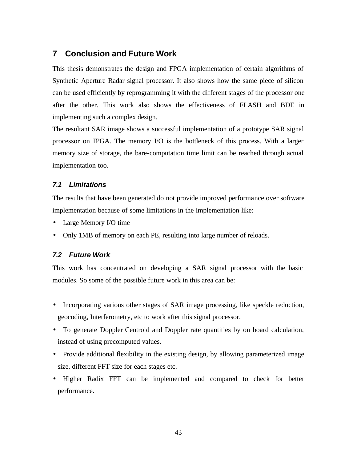### **7 Conclusion and Future Work**

This thesis demonstrates the design and FPGA implementation of certain algorithms of Synthetic Aperture Radar signal processor. It also shows how the same piece of silicon can be used efficiently by reprogramming it with the different stages of the processor one after the other. This work also shows the effectiveness of FLASH and BDE in implementing such a complex design.

The resultant SAR image shows a successful implementation of a prototype SAR signal processor on FPGA. The memory I/O is the bottleneck of this process. With a larger memory size of storage, the bare-computation time limit can be reached through actual implementation too.

#### *7.1 Limitations*

The results that have been generated do not provide improved performance over software implementation because of some limitations in the implementation like:

- Large Memory I/O time
- Only 1MB of memory on each PE, resulting into large number of reloads.

#### *7.2 Future Work*

This work has concentrated on developing a SAR signal processor with the basic modules. So some of the possible future work in this area can be:

- Incorporating various other stages of SAR image processing, like speckle reduction, geocoding, Interferometry, etc to work after this signal processor.
- To generate Doppler Centroid and Doppler rate quantities by on board calculation, instead of using precomputed values.
- Provide additional flexibility in the existing design, by allowing parameterized image size, different FFT size for each stages etc.
- Higher Radix FFT can be implemented and compared to check for better performance.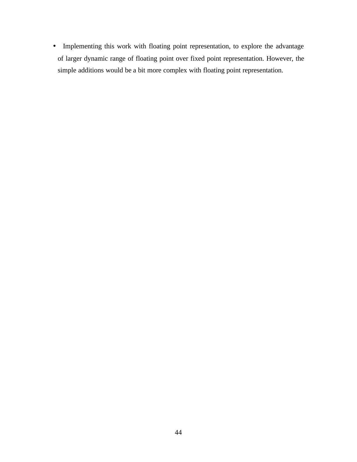• Implementing this work with floating point representation, to explore the advantage of larger dynamic range of floating point over fixed point representation. However, the simple additions would be a bit more complex with floating point representation.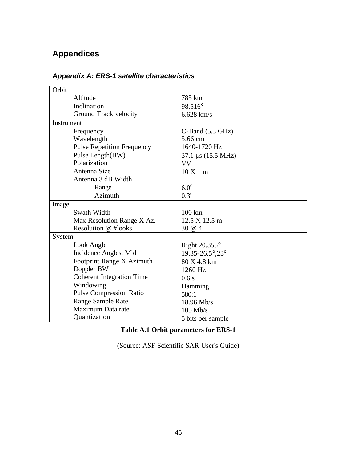# **Appendices**

| Orbit                             |                                      |  |
|-----------------------------------|--------------------------------------|--|
| Altitude                          | 785 km                               |  |
| Inclination                       | 98.516°                              |  |
| Ground Track velocity             | $6.628$ km/s                         |  |
| Instrument                        |                                      |  |
| Frequency                         | $C$ -Band $(5.3 \text{ GHz})$        |  |
| Wavelength                        | 5.66 cm                              |  |
| <b>Pulse Repetition Frequency</b> | 1640-1720 Hz                         |  |
| Pulse Length(BW)                  | $37.1 \,\mu s \,(15.5 \,\text{MHz})$ |  |
| Polarization                      | VV                                   |  |
| Antenna Size                      | $10 \text{ X} 1 \text{ m}$           |  |
| Antenna 3 dB Width                |                                      |  |
| Range                             | $6.0^\circ$                          |  |
| Azimuth                           | $0.3^{\circ}$                        |  |
| Image                             |                                      |  |
| Swath Width                       | $100 \mathrm{km}$                    |  |
| Max Resolution Range X Az.        | 12.5 X 12.5 m                        |  |
| Resolution @ #looks               | 30 @ 4                               |  |
| System                            |                                      |  |
| Look Angle                        | Right $20.355^{\circ}$               |  |
| Incidence Angles, Mid             | 19.35-26.5°,23°                      |  |
| Footprint Range X Azimuth         | 80 X 4.8 km                          |  |
| Doppler BW                        | 1260 Hz                              |  |
| <b>Coherent Integration Time</b>  | 0.6s                                 |  |
| Windowing                         | Hamming                              |  |
| <b>Pulse Compression Ratio</b>    | 580:1                                |  |
| Range Sample Rate                 | 18.96 Mb/s                           |  |
| Maximum Data rate                 | $105$ Mb/s                           |  |
| Quantization                      | 5 bits per sample                    |  |

# *Appendix A: ERS-1 satellite characteristics*

### **Table A.1 Orbit parameters for ERS-1**

(Source: ASF Scientific SAR User's Guide)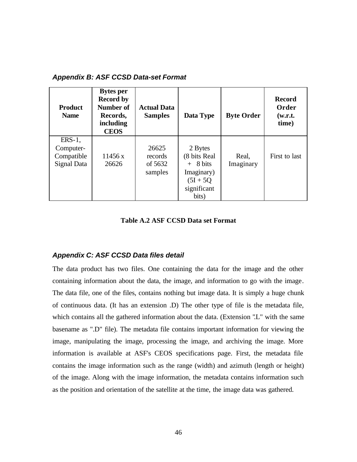| <b>Product</b><br><b>Name</b>                       | <b>Bytes per</b><br><b>Record by</b><br>Number of<br>Records,<br>including<br><b>CEOS</b> | <b>Actual Data</b><br><b>Samples</b>   | Data Type                                                                                  | <b>Byte Order</b>  | <b>Record</b><br>Order<br>(w.r.t.<br>time) |
|-----------------------------------------------------|-------------------------------------------------------------------------------------------|----------------------------------------|--------------------------------------------------------------------------------------------|--------------------|--------------------------------------------|
| $ERS-1$ ,<br>Computer-<br>Compatible<br>Signal Data | 11456 x<br>26626                                                                          | 26625<br>records<br>of 5632<br>samples | 2 Bytes<br>(8 bits Real<br>$+$ 8 bits<br>Imaginary)<br>$(5I + 5Q)$<br>significant<br>bits) | Real,<br>Imaginary | First to last                              |

#### *Appendix B: ASF CCSD Data-set Format*

#### **Table A.2 ASF CCSD Data set Format**

#### *Appendix C: ASF CCSD Data files detail*

The data product has two files. One containing the data for the image and the other containing information about the data, the image, and information to go with the image. The data file, one of the files, contains nothing but image data. It is simply a huge chunk of continuous data. (It has an extension .D) The other type of file is the metadata file, which contains all the gathered information about the data. (Extension "L" with the same basename as ".D" file). The metadata file contains important information for viewing the image, manipulating the image, processing the image, and archiving the image. More information is available at ASF's CEOS specifications page. First, the metadata file contains the image information such as the range (width) and azimuth (length or height) of the image. Along with the image information, the metadata contains information such as the position and orientation of the satellite at the time, the image data was gathered.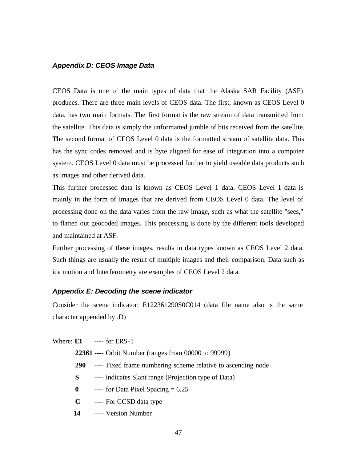#### *Appendix D: CEOS Image Data*

CEOS Data is one of the main types of data that the Alaska SAR Facility (ASF) produces. There are three main levels of CEOS data. The first, known as CEOS Level 0 data, has two main formats. The first format is the raw stream of data transmitted from the satellite. This data is simply the unformatted jumble of bits received from the satellite. The second format of CEOS Level 0 data is the formatted stream of satellite data. This has the sync codes removed and is byte aligned for ease of integration into a computer system. CEOS Level 0 data must be processed further to yield useable data products such as images and other derived data.

This further processed data is known as CEOS Level 1 data. CEOS Level 1 data is mainly in the form of images that are derived from CEOS Level 0 data. The level of processing done on the data varies from the raw image, such as what the satellite "sees," to flatten out geocoded images. This processing is done by the different tools developed and maintained at ASF.

Further processing of these images, results in data types known as CEOS Level 2 data. Such things are usually the result of multiple images and their comparison. Data such as ice motion and Interferometry are examples of CEOS Level 2 data.

#### *Appendix E: Decoding the scene indicator*

Consider the scene indicator: E122361290S0C014 (data file name also is the same character appended by .D)

Where: **E1 -**--- for ERS-1

- **22361** ---- Orbit Number (ranges from 00000 to 99999)
- **290** ---- Fixed frame numbering scheme relative to ascending node
- **S** ---- indicates Slant range (Projection type of Data)
- $\theta$  ---- for Data Pixel Spacing = 6.25
- **C** ---- For CCSD data type
- **14** ---- Version Number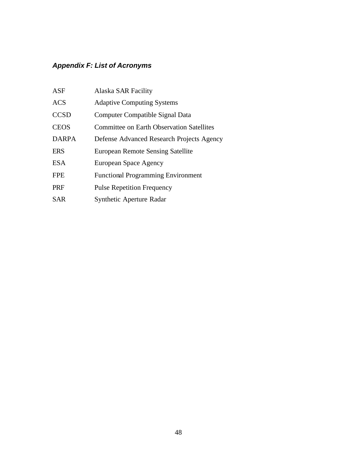# *Appendix F: List of Acronyms*

| <b>ASF</b>   | Alaska SAR Facility                              |
|--------------|--------------------------------------------------|
| <b>ACS</b>   | <b>Adaptive Computing Systems</b>                |
| <b>CCSD</b>  | Computer Compatible Signal Data                  |
| <b>CEOS</b>  | <b>Committee on Earth Observation Satellites</b> |
| <b>DARPA</b> | Defense Advanced Research Projects Agency        |
| <b>ERS</b>   | European Remote Sensing Satellite                |
| <b>ESA</b>   | European Space Agency                            |
| <b>FPE</b>   | <b>Functional Programming Environment</b>        |
| <b>PRF</b>   | <b>Pulse Repetition Frequency</b>                |
| SAR          | Synthetic Aperture Radar                         |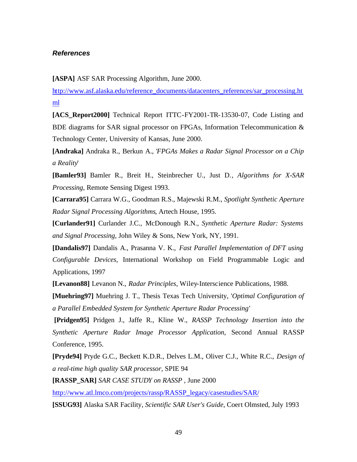#### *References*

**[ASPA]** ASF SAR Processing Algorithm, June 2000.

http://www.asf.alaska.edu/reference\_documents/datacenters\_references/sar\_processing.ht ml

**[ACS\_Report2000]** Technical Report ITTC-FY2001-TR-13530-07, Code Listing and BDE diagrams for SAR signal processor on FPGAs, Information Telecommunication  $\&$ Technology Center, University of Kansas, June 2000.

**[Andraka]** Andraka R., Berkun A., '*FPGAs Makes a Radar Signal Processor on a Chip a Reality*'

**[Bamler93]** Bamler R., Breit H., Steinbrecher U., Just D.*, Algorithms for X-SAR Processing*, Remote Sensing Digest 1993.

**[Carrara95]** Carrara W.G., Goodman R.S., Majewski R.M., *Spotlight Synthetic Aperture Radar Signal Processing Algorithms*, Artech House, 1995.

**[Curlander91]** Curlander J.C., McDonough R.N.*, Synthetic Aperture Radar: Systems and Signal Processing*, John Wiley & Sons, New York, NY, 1991.

**[Dandalis97]** Dandalis A., Prasanna V. K., *Fast Parallel Implementation of DFT using Configurable Devices,* International Workshop on Field Programmable Logic and Applications, 1997

**[Levanon88]** Levanon N., *Radar Principles,* Wiley-Interscience Publications, 1988.

**[Muehring97]** Muehring J. T., Thesis Texas Tech University, '*Optimal Configuration of a Parallel Embedded System for Synthetic Aperture Radar Processing'*

 **[Pridgen95]** Pridgen J., Jaffe R., Kline W., *RASSP Technology Insertion into the Synthetic Aperture Radar Image Processor Application*, Second Annual RASSP Conference, 1995.

**[Pryde94]** Pryde G.C., Beckett K.D.R., Delves L.M., Oliver C.J., White R.C., *Design of a real-time high quality SAR processor,* SPIE 94

**[RASSP\_SAR]** *SAR CASE STUDY on RASSP ,* June 2000

http://www.atl.lmco.com/projects/rassp/RASSP\_legacy/casestudies/SAR/ **[SSUG93]** Alaska SAR Facility, *Scientific SAR User's Guide*, Coert Olmsted, July 1993